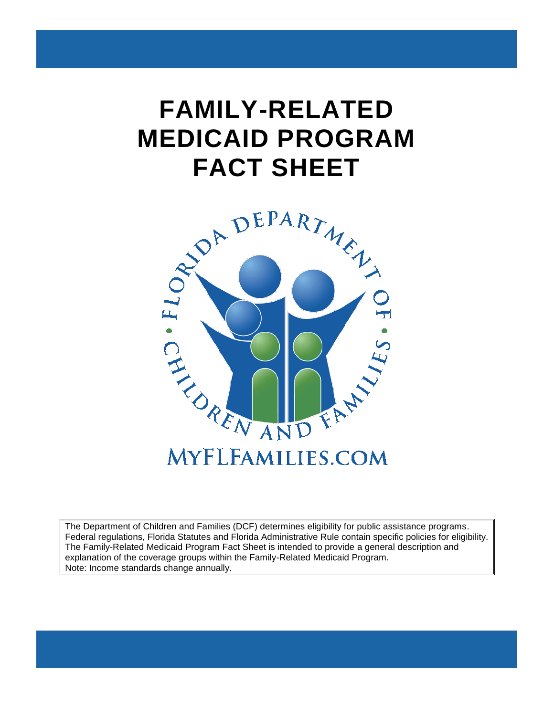# **FAMILY-RELATED MEDICAID PROGRAM**



The Department of Children and Families (DCF) determines eligibility for public assistance programs. Federal regulations, Florida Statutes and Florida Administrative Rule contain specific policies for eligibility. The Family-Related Medicaid Program Fact Sheet is intended to provide a general description and explanation of the coverage groups within the Family-Related Medicaid Program. Note: Income standards change annually.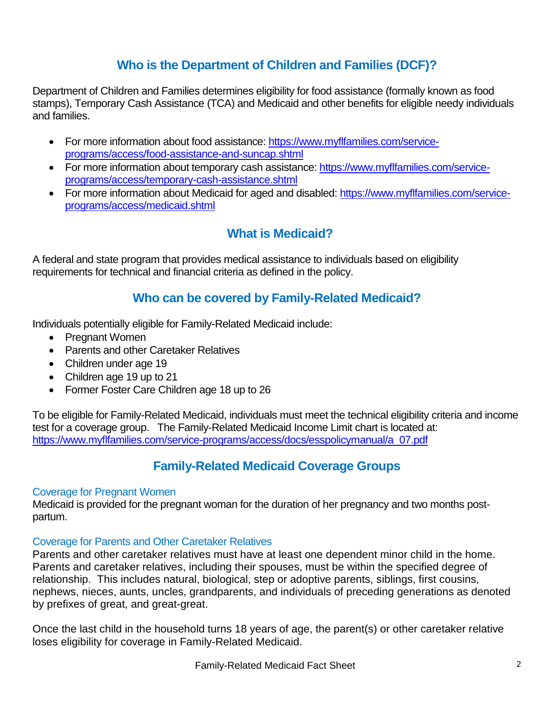# **Who is the Department of Children and Families (DCF)?**

Department of Children and Families determines eligibility for food assistance (formally known as food stamps), Temporary Cash Assistance (TCA) and Medicaid and other benefits for eligible needy individuals and families.

- For more information about food assistance: https://www.myfifamilies.com/service[programs/access/food-assistance-and-suncap.shtml](https://www.myflfamilies.com/service-programs/access/food-assistance-and-suncap.shtml)
- For more information about temporary cash assistance: https://www.myfifamilies.com/service[programs/access/temporary-cash-assistance.shtml](https://www.myflfamilies.com/service-programs/access/temporary-cash-assistance.shtml)
- For more information about Medicaid for aged and disabled: https://www.myfifamilies.com/service[programs/access/medicaid.shtml](https://www.myflfamilies.com/service-programs/access/medicaid.shtml)

# **What is Medicaid?**

A federal and state program that provides medical assistance to individuals based on eligibility requirements for technical and financial criteria as defined in the policy.

#### **Who can be covered by Family-Related Medicaid?**

Individuals potentially eligible for Family-Related Medicaid include:

- Pregnant Women
- Parents and other Caretaker Relatives
- Children under age 19
- Children age 19 up to 21
- Former Foster Care Children age 18 up to 26

To be eligible for Family-Related Medicaid, individuals must meet the technical eligibility criteria and income test for a coverage group. The Family-Related Medicaid Income Limit chart is located at: [https://www.myflfamilies.com/service-programs/access/docs/esspolicymanual/a\\_07.pdf](https://www.myflfamilies.com/service-programs/access/docs/esspolicymanual/a_07.pdf)

#### **Family-Related Medicaid Coverage Groups**

#### Coverage for Pregnant Women

Medicaid is provided for the pregnant woman for the duration of her pregnancy and two months postpartum.

#### Coverage for Parents and Other Caretaker Relatives

Parents and other caretaker relatives must have at least one dependent minor child in the home. Parents and caretaker relatives, including their spouses, must be within the specified degree of relationship. This includes natural, biological, step or adoptive parents, siblings, first cousins, nephews, nieces, aunts, uncles, grandparents, and individuals of preceding generations as denoted by prefixes of great, and great-great.

Once the last child in the household turns 18 years of age, the parent(s) or other caretaker relative loses eligibility for coverage in Family-Related Medicaid.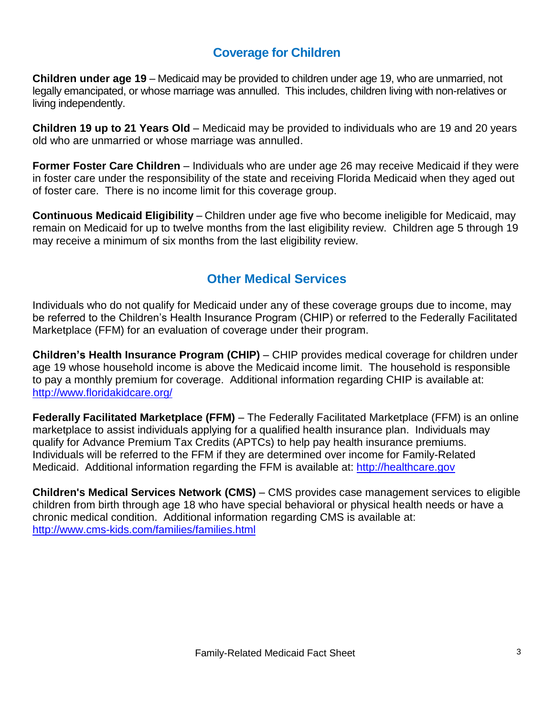## **Coverage for Children**

**Children under age 19** – Medicaid may be provided to children under age 19, who are unmarried, not legally emancipated, or whose marriage was annulled. This includes, children living with non-relatives or living independently.

**Children 19 up to 21 Years Old** – Medicaid may be provided to individuals who are 19 and 20 years old who are unmarried or whose marriage was annulled.

**Former Foster Care Children** – Individuals who are under age 26 may receive Medicaid if they were in foster care under the responsibility of the state and receiving Florida Medicaid when they aged out of foster care. There is no income limit for this coverage group.

**Continuous Medicaid Eligibility** – Children under age five who become ineligible for Medicaid, may remain on Medicaid for up to twelve months from the last eligibility review. Children age 5 through 19 may receive a minimum of six months from the last eligibility review.

#### **Other Medical Services**

Individuals who do not qualify for Medicaid under any of these coverage groups due to income, may be referred to the Children's Health Insurance Program (CHIP) or referred to the Federally Facilitated Marketplace (FFM) for an evaluation of coverage under their program.

**Children's Health Insurance Program (CHIP)** – CHIP provides medical coverage for children under age 19 whose household income is above the Medicaid income limit. The household is responsible to pay a monthly premium for coverage. Additional information regarding CHIP is available at: <http://www.floridakidcare.org/>

**Federally Facilitated Marketplace (FFM)** – The Federally Facilitated Marketplace (FFM) is an online marketplace to assist individuals applying for a qualified health insurance plan. Individuals may qualify for Advance Premium Tax Credits (APTCs) to help pay health insurance premiums. Individuals will be referred to the FFM if they are determined over income for Family-Related Medicaid. Additional information regarding the FFM is available at: [http://healthcare.gov](http://healthcare.gov/)

**Children's Medical Services Network (CMS)** – CMS provides case management services to eligible children from birth through age 18 who have special behavioral or physical health needs or have a chronic medical condition. Additional information regarding CMS is available at: <http://www.cms-kids.com/families/families.html>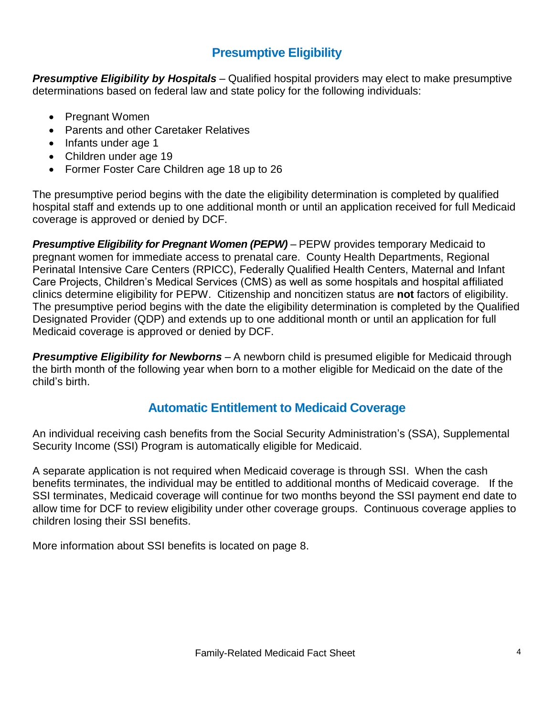## **Presumptive Eligibility**

*Presumptive Eligibility by Hospitals* – Qualified hospital providers may elect to make presumptive determinations based on federal law and state policy for the following individuals:

- Pregnant Women
- Parents and other Caretaker Relatives
- Infants under age 1
- Children under age 19
- Former Foster Care Children age 18 up to 26

The presumptive period begins with the date the eligibility determination is completed by qualified hospital staff and extends up to one additional month or until an application received for full Medicaid coverage is approved or denied by DCF.

*Presumptive Eligibility for Pregnant Women (PEPW)* – PEPW provides temporary Medicaid to pregnant women for immediate access to prenatal care. County Health Departments, Regional Perinatal Intensive Care Centers (RPICC), Federally Qualified Health Centers, Maternal and Infant Care Projects, Children's Medical Services (CMS) as well as some hospitals and hospital affiliated clinics determine eligibility for PEPW. Citizenship and noncitizen status are **not** factors of eligibility. The presumptive period begins with the date the eligibility determination is completed by the Qualified Designated Provider (QDP) and extends up to one additional month or until an application for full Medicaid coverage is approved or denied by DCF.

*Presumptive Eligibility for Newborns* – A newborn child is presumed eligible for Medicaid through the birth month of the following year when born to a mother eligible for Medicaid on the date of the child's birth.

#### **Automatic Entitlement to Medicaid Coverage**

An individual receiving cash benefits from the Social Security Administration's (SSA), Supplemental Security Income (SSI) Program is automatically eligible for Medicaid.

A separate application is not required when Medicaid coverage is through SSI. When the cash benefits terminates, the individual may be entitled to additional months of Medicaid coverage. If the SSI terminates, Medicaid coverage will continue for two months beyond the SSI payment end date to allow time for DCF to review eligibility under other coverage groups. Continuous coverage applies to children losing their SSI benefits.

More information about SSI benefits is located on page 8.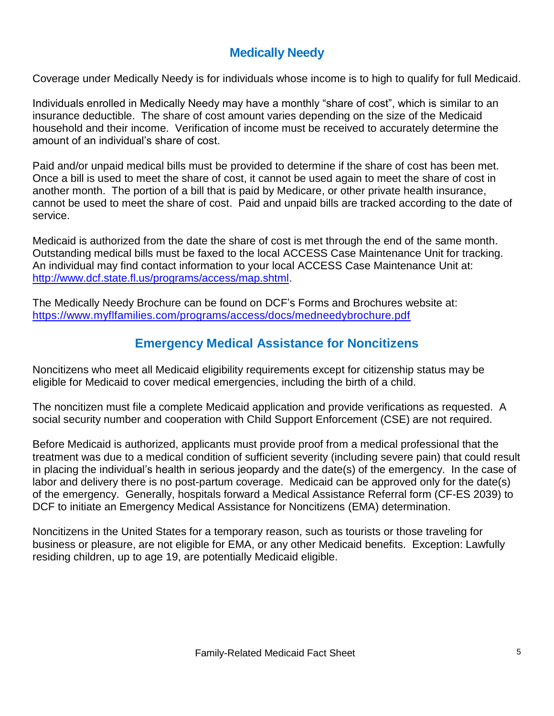# **Medically Needy**

Coverage under Medically Needy is for individuals whose income is to high to qualify for full Medicaid.

Individuals enrolled in Medically Needy may have a monthly "share of cost", which is similar to an insurance deductible. The share of cost amount varies depending on the size of the Medicaid household and their income. Verification of income must be received to accurately determine the amount of an individual's share of cost.

Paid and/or unpaid medical bills must be provided to determine if the share of cost has been met. Once a bill is used to meet the share of cost, it cannot be used again to meet the share of cost in another month. The portion of a bill that is paid by Medicare, or other private health insurance, cannot be used to meet the share of cost. Paid and unpaid bills are tracked according to the date of service.

Medicaid is authorized from the date the share of cost is met through the end of the same month. Outstanding medical bills must be faxed to the local ACCESS Case Maintenance Unit for tracking. An individual may find contact information to your local ACCESS Case Maintenance Unit at: [http://www.dcf.state.fl.us/programs/access/map.shtml.](http://www.dcf.state.fl.us/programs/access/map.shtml)

The Medically Needy Brochure can be found on DCF's Forms and Brochures website at: <https://www.myflfamilies.com/programs/access/docs/medneedybrochure.pdf>

#### **Emergency Medical Assistance for Noncitizens**

Noncitizens who meet all Medicaid eligibility requirements except for citizenship status may be eligible for Medicaid to cover medical emergencies, including the birth of a child.

The noncitizen must file a complete Medicaid application and provide verifications as requested. A social security number and cooperation with Child Support Enforcement (CSE) are not required.

Before Medicaid is authorized, applicants must provide proof from a medical professional that the treatment was due to a medical condition of sufficient severity (including severe pain) that could result in placing the individual's health in serious jeopardy and the date(s) of the emergency. In the case of labor and delivery there is no post-partum coverage. Medicaid can be approved only for the date(s) of the emergency. Generally, hospitals forward a Medical Assistance Referral form (CF-ES 2039) to DCF to initiate an Emergency Medical Assistance for Noncitizens (EMA) determination.

Noncitizens in the United States for a temporary reason, such as tourists or those traveling for business or pleasure, are not eligible for EMA, or any other Medicaid benefits. Exception: Lawfully residing children, up to age 19, are potentially Medicaid eligible.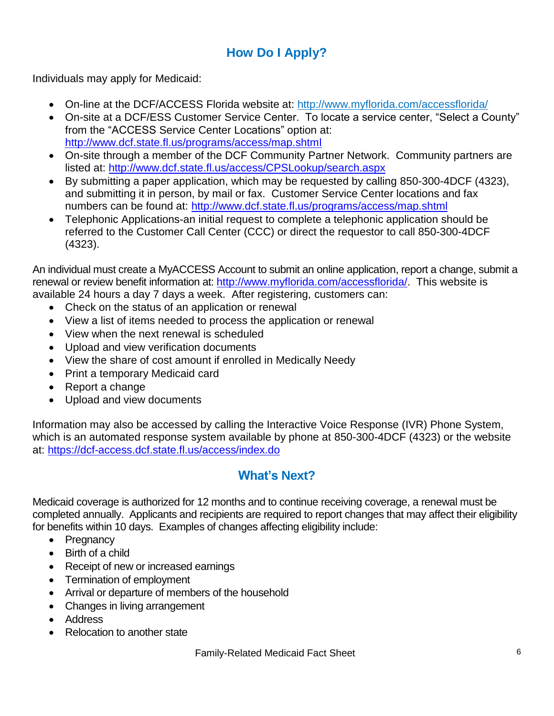# **How Do I Apply?**

Individuals may apply for Medicaid:

- On-line at the DCF/ACCESS Florida website at: <http://www.myflorida.com/accessflorida/>
- On-site at a DCF/ESS Customer Service Center. To locate a service center, "Select a County" from the "ACCESS Service Center Locations" option at: <http://www.dcf.state.fl.us/programs/access/map.shtml>
- On-site through a member of the DCF Community Partner Network. Community partners are listed at: <http://www.dcf.state.fl.us/access/CPSLookup/search.aspx>
- By submitting a paper application, which may be requested by calling 850-300-4DCF (4323), and submitting it in person, by mail or fax. Customer Service Center locations and fax numbers can be found at:<http://www.dcf.state.fl.us/programs/access/map.shtml>
- Telephonic Applications-an initial request to complete a telephonic application should be referred to the Customer Call Center (CCC) or direct the requestor to call 850-300-4DCF (4323).

An individual must create a MyACCESS Account to submit an online application, report a change, submit a renewal or review benefit information at: [http://www.myflorida.com/accessflorida/.](http://www.myflorida.com/accessflorida/) This website is available 24 hours a day 7 days a week. After registering, customers can:

- Check on the status of an application or renewal
- View a list of items needed to process the application or renewal
- View when the next renewal is scheduled
- Upload and view verification documents
- View the share of cost amount if enrolled in Medically Needy
- Print a temporary Medicaid card
- Report a change
- Upload and view documents

Information may also be accessed by calling the Interactive Voice Response (IVR) Phone System, which is an automated response system available by phone at 850-300-4DCF (4323) or the website at: <https://dcf-access.dcf.state.fl.us/access/index.do>

#### **What's Next?**

Medicaid coverage is authorized for 12 months and to continue receiving coverage, a renewal must be completed annually. Applicants and recipients are required to report changes that may affect their eligibility for benefits within 10 days. Examples of changes affecting eligibility include:

- Pregnancy
- Birth of a child
- Receipt of new or increased earnings
- Termination of employment
- Arrival or departure of members of the household
- Changes in living arrangement
- Address
- Relocation to another state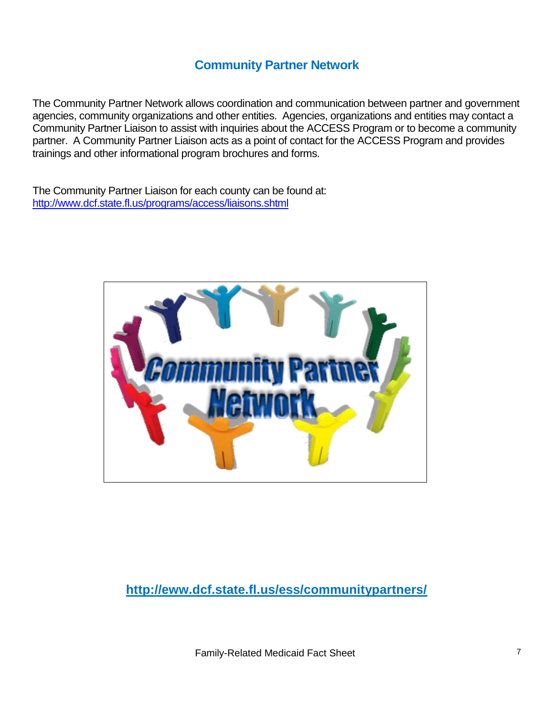#### **Community Partner Network**

The Community Partner Network allows coordination and communication between partner and government agencies, community organizations and other entities. Agencies, organizations and entities may contact a Community Partner Liaison to assist with inquiries about the ACCESS Program or to become a community partner. A Community Partner Liaison acts as a point of contact for the ACCESS Program and provides trainings and other informational program brochures and forms.

The Community Partner Liaison for each county can be found at: <http://www.dcf.state.fl.us/programs/access/liaisons.shtml>



**<http://eww.dcf.state.fl.us/ess/communitypartners/>**

Family-Related Medicaid Fact Sheet 7 and 7